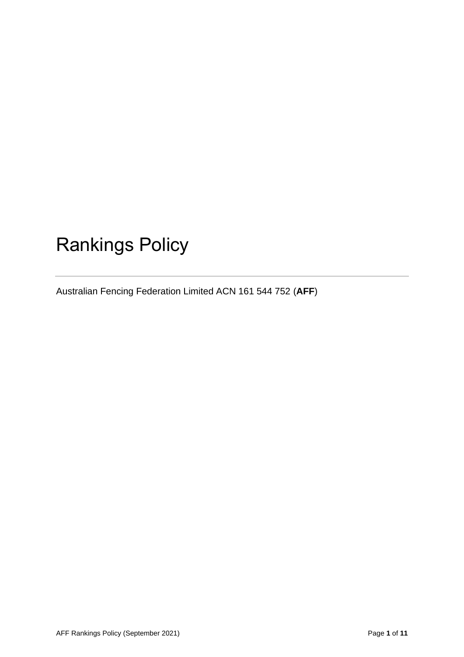# Rankings Policy

Australian Fencing Federation Limited ACN 161 544 752 (**AFF**)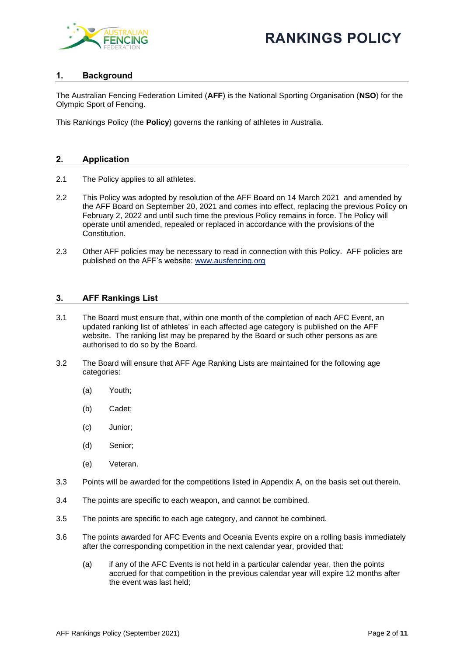

## **RANKINGS POLICY**

#### **1. Background**

The Australian Fencing Federation Limited (**AFF**) is the National Sporting Organisation (**NSO**) for the Olympic Sport of Fencing.

This Rankings Policy (the **Policy**) governs the ranking of athletes in Australia.

#### **2. Application**

- 2.1 The Policy applies to all athletes.
- 2.2 This Policy was adopted by resolution of the AFF Board on 14 March 2021 and amended by the AFF Board on September 20, 2021 and comes into effect, replacing the previous Policy on February 2, 2022 and until such time the previous Policy remains in force. The Policy will operate until amended, repealed or replaced in accordance with the provisions of the Constitution.
- 2.3 Other AFF policies may be necessary to read in connection with this Policy. AFF policies are published on the AFF's website: [www.ausfencing.org](http://www.ausfencing.org/)

#### **3. AFF Rankings List**

- 3.1 The Board must ensure that, within one month of the completion of each AFC Event, an updated ranking list of athletes' in each affected age category is published on the AFF website. The ranking list may be prepared by the Board or such other persons as are authorised to do so by the Board.
- 3.2 The Board will ensure that AFF Age Ranking Lists are maintained for the following age categories:
	- (a) Youth;
	- (b) Cadet;
	- (c) Junior;
	- (d) Senior;
	- (e) Veteran.
- 3.3 Points will be awarded for the competitions listed in Appendix A, on the basis set out therein.
- 3.4 The points are specific to each weapon, and cannot be combined.
- 3.5 The points are specific to each age category, and cannot be combined.
- 3.6 The points awarded for AFC Events and Oceania Events expire on a rolling basis immediately after the corresponding competition in the next calendar year, provided that:
	- (a) if any of the AFC Events is not held in a particular calendar year, then the points accrued for that competition in the previous calendar year will expire 12 months after the event was last held;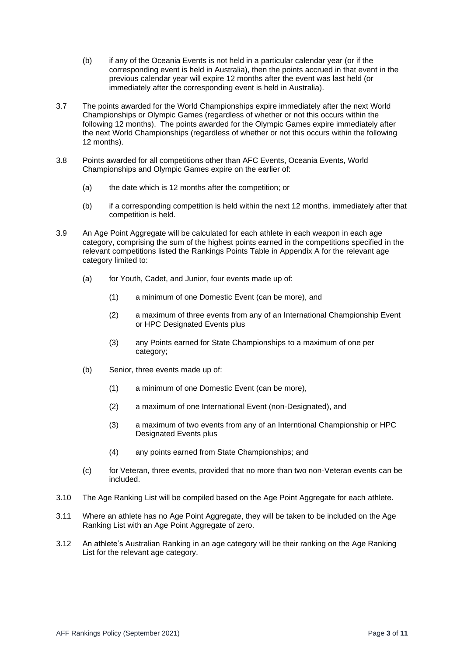- (b) if any of the Oceania Events is not held in a particular calendar year (or if the corresponding event is held in Australia), then the points accrued in that event in the previous calendar year will expire 12 months after the event was last held (or immediately after the corresponding event is held in Australia).
- 3.7 The points awarded for the World Championships expire immediately after the next World Championships or Olympic Games (regardless of whether or not this occurs within the following 12 months). The points awarded for the Olympic Games expire immediately after the next World Championships (regardless of whether or not this occurs within the following 12 months).
- 3.8 Points awarded for all competitions other than AFC Events, Oceania Events, World Championships and Olympic Games expire on the earlier of:
	- (a) the date which is 12 months after the competition; or
	- (b) if a corresponding competition is held within the next 12 months, immediately after that competition is held.
- 3.9 An Age Point Aggregate will be calculated for each athlete in each weapon in each age category, comprising the sum of the highest points earned in the competitions specified in the relevant competitions listed the Rankings Points Table in Appendix A for the relevant age category limited to:
	- (a) for Youth, Cadet, and Junior, four events made up of:
		- (1) a minimum of one Domestic Event (can be more), and
		- (2) a maximum of three events from any of an International Championship Event or HPC Designated Events plus
		- (3) any Points earned for State Championships to a maximum of one per category;
	- (b) Senior, three events made up of:
		- (1) a minimum of one Domestic Event (can be more),
		- (2) a maximum of one International Event (non-Designated), and
		- (3) a maximum of two events from any of an Interntional Championship or HPC Designated Events plus
		- (4) any points earned from State Championships; and
	- (c) for Veteran, three events, provided that no more than two non-Veteran events can be included.
- 3.10 The Age Ranking List will be compiled based on the Age Point Aggregate for each athlete.
- 3.11 Where an athlete has no Age Point Aggregate, they will be taken to be included on the Age Ranking List with an Age Point Aggregate of zero.
- 3.12 An athlete's Australian Ranking in an age category will be their ranking on the Age Ranking List for the relevant age category.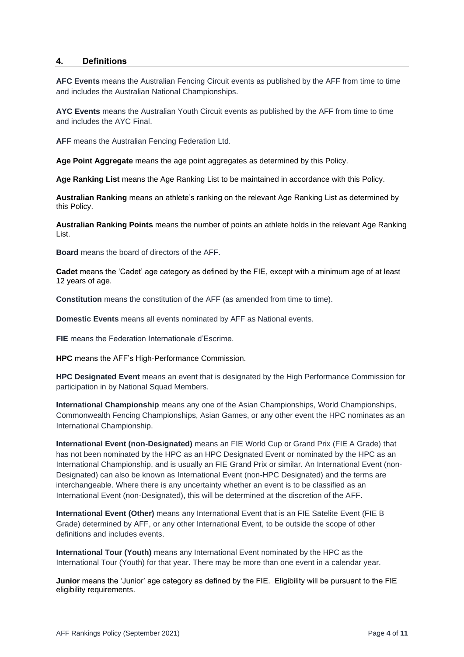#### **4. Definitions**

**AFC Events** means the Australian Fencing Circuit events as published by the AFF from time to time and includes the Australian National Championships.

**AYC Events** means the Australian Youth Circuit events as published by the AFF from time to time and includes the AYC Final.

**AFF** means the Australian Fencing Federation Ltd.

**Age Point Aggregate** means the age point aggregates as determined by this Policy.

**Age Ranking List** means the Age Ranking List to be maintained in accordance with this Policy.

**Australian Ranking** means an athlete's ranking on the relevant Age Ranking List as determined by this Policy.

**Australian Ranking Points** means the number of points an athlete holds in the relevant Age Ranking List.

**Board** means the board of directors of the AFF.

**Cadet** means the 'Cadet' age category as defined by the FIE, except with a minimum age of at least 12 years of age.

**Constitution** means the constitution of the AFF (as amended from time to time).

**Domestic Events** means all events nominated by AFF as National events.

**FIE** means the Federation Internationale d'Escrime.

**HPC** means the AFF's High-Performance Commission.

**HPC Designated Event** means an event that is designated by the High Performance Commission for participation in by National Squad Members.

**International Championship** means any one of the Asian Championships, World Championships, Commonwealth Fencing Championships, Asian Games, or any other event the HPC nominates as an International Championship.

**International Event (non-Designated)** means an FIE World Cup or Grand Prix (FIE A Grade) that has not been nominated by the HPC as an HPC Designated Event or nominated by the HPC as an International Championship, and is usually an FIE Grand Prix or similar. An International Event (non-Designated) can also be known as International Event (non-HPC Designated) and the terms are interchangeable. Where there is any uncertainty whether an event is to be classified as an International Event (non-Designated), this will be determined at the discretion of the AFF.

**International Event (Other)** means any International Event that is an FIE Satelite Event (FIE B Grade) determined by AFF, or any other International Event, to be outside the scope of other definitions and includes events.

**International Tour (Youth)** means any International Event nominated by the HPC as the International Tour (Youth) for that year. There may be more than one event in a calendar year.

**Junior** means the 'Junior' age category as defined by the FIE. Eligibility will be pursuant to the FIE eligibility requirements.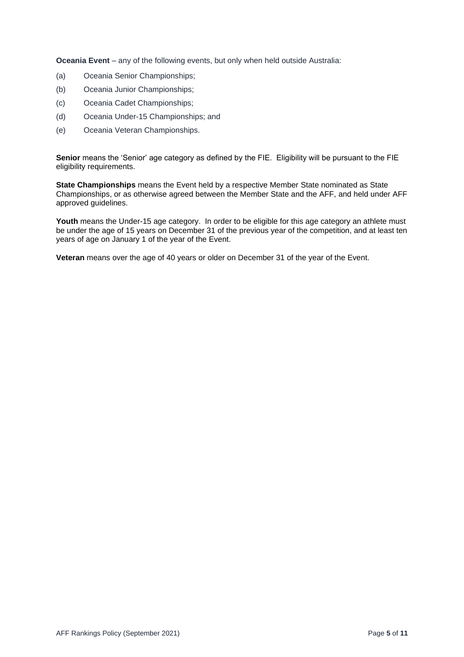**Oceania Event** – any of the following events, but only when held outside Australia:

- (a) Oceania Senior Championships;
- (b) Oceania Junior Championships;
- (c) Oceania Cadet Championships;
- (d) Oceania Under-15 Championships; and
- (e) Oceania Veteran Championships.

**Senior** means the 'Senior' age category as defined by the FIE. Eligibility will be pursuant to the FIE eligibility requirements.

**State Championships** means the Event held by a respective Member State nominated as State Championships, or as otherwise agreed between the Member State and the AFF, and held under AFF approved guidelines.

Youth means the Under-15 age category. In order to be eligible for this age category an athlete must be under the age of 15 years on December 31 of the previous year of the competition, and at least ten years of age on January 1 of the year of the Event.

**Veteran** means over the age of 40 years or older on December 31 of the year of the Event.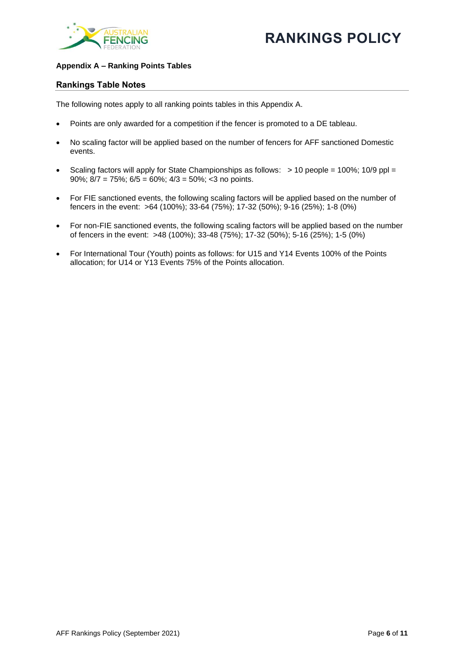

#### **Appendix A – Ranking Points Tables**

#### **Rankings Table Notes**

The following notes apply to all ranking points tables in this Appendix A.

- Points are only awarded for a competition if the fencer is promoted to a DE tableau.
- No scaling factor will be applied based on the number of fencers for AFF sanctioned Domestic events.
- Scaling factors will apply for State Championships as follows:  $> 10$  people = 100%; 10/9 ppl = 90%; 8/7 = 75%; 6/5 = 60%; 4/3 = 50%; <3 no points.
- For FIE sanctioned events, the following scaling factors will be applied based on the number of fencers in the event: >64 (100%); 33-64 (75%); 17-32 (50%); 9-16 (25%); 1-8 (0%)
- For non-FIE sanctioned events, the following scaling factors will be applied based on the number of fencers in the event: >48 (100%); 33-48 (75%); 17-32 (50%); 5-16 (25%); 1-5 (0%)
- For International Tour (Youth) points as follows: for U15 and Y14 Events 100% of the Points allocation; for U14 or Y13 Events 75% of the Points allocation.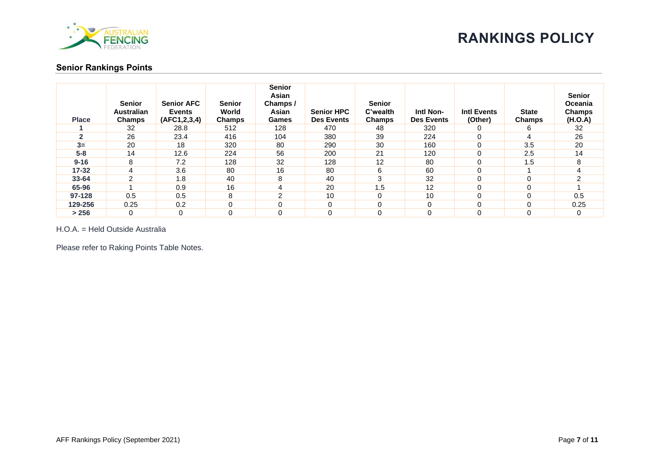

#### **Senior Rankings Points**

| <b>Place</b> | <b>Senior</b><br><b>Australian</b><br><b>Champs</b> | <b>Senior AFC</b><br><b>Events</b><br>(AFC1, 2, 3, 4) | <b>Senior</b><br>World<br>Champs | <b>Senior</b><br>Asian<br>Champs/<br>Asian<br>Games | <b>Senior HPC</b><br><b>Des Events</b> | <b>Senior</b><br>C'wealth<br><b>Champs</b> | Intl Non-<br><b>Des Events</b> | <b>Intl Events</b><br>(Other) | <b>State</b><br><b>Champs</b> | <b>Senior</b><br>Oceania<br>Champs<br>(H.O.A) |
|--------------|-----------------------------------------------------|-------------------------------------------------------|----------------------------------|-----------------------------------------------------|----------------------------------------|--------------------------------------------|--------------------------------|-------------------------------|-------------------------------|-----------------------------------------------|
|              | 32                                                  | 28.8                                                  | 512                              | 128                                                 | 470                                    | 48                                         | 320                            | 0                             | 6                             | 32                                            |
|              | 26                                                  | 23.4                                                  | 416                              | 104                                                 | 380                                    | 39                                         | 224                            | $\Omega$                      | 4                             | 26                                            |
| $3=$         | 20                                                  | 18                                                    | 320                              | 80                                                  | 290                                    | 30                                         | 160                            | 0                             | 3.5                           | 20                                            |
| $5 - 8$      | 14                                                  | 12.6                                                  | 224                              | 56                                                  | 200                                    | 21                                         | 120                            | 0                             | 2.5                           | 14                                            |
| $9 - 16$     | 8                                                   | 7.2                                                   | 128                              | 32                                                  | 128                                    | 12                                         | 80                             | 0                             | 1.5                           |                                               |
| $17 - 32$    | 4                                                   | 3.6                                                   | 80                               | 16                                                  | 80                                     | 6                                          | 60                             | 0                             |                               |                                               |
| $33 - 64$    | 2                                                   | 1.8                                                   | 40                               | 8                                                   | 40                                     | 3                                          | 32                             | 0                             | $\Omega$                      |                                               |
| 65-96        |                                                     | 0.9                                                   | 16                               | 4                                                   | 20                                     | 1.5                                        | 12                             | 0                             | 0                             |                                               |
| 97-128       | 0.5                                                 | 0.5                                                   | 8                                | ົ                                                   | 10                                     | 0                                          | 10                             | 0                             | $\Omega$                      | 0.5                                           |
| 129-256      | 0.25                                                | 0.2                                                   |                                  | $\Omega$                                            | $\Omega$                               | 0                                          | $\Omega$                       | $\Omega$                      | $\Omega$                      | 0.25                                          |
| > 256        | 0                                                   | 0                                                     |                                  | 0                                                   | 0                                      | 0                                          | 0                              | 0                             | 0                             |                                               |

H.O.A. = Held Outside Australia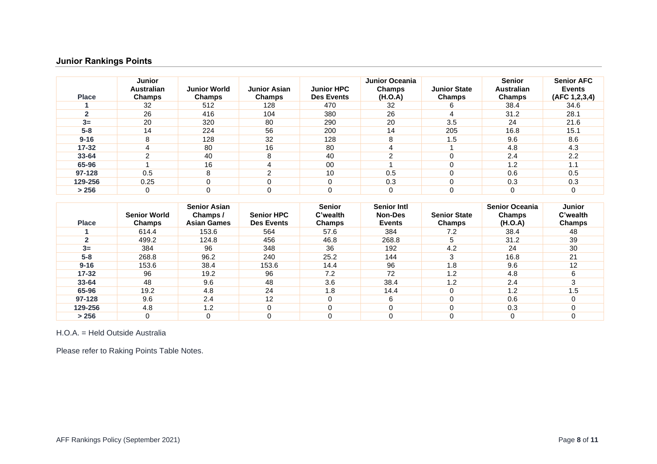## **Junior Rankings Points**

| <b>Place</b> | <b>Junior</b><br><b>Australian</b><br>Champs | <b>Junior World</b><br><b>Champs</b> | <b>Junior Asian</b><br><b>Champs</b> | <b>Junior HPC</b><br><b>Des Events</b> | Junior Oceania<br><b>Champs</b><br>(H.O.A) | <b>Junior State</b><br><b>Champs</b> | <b>Senior</b><br><b>Australian</b><br><b>Champs</b> | <b>Senior AFC</b><br><b>Events</b><br>(AFC 1,2,3,4) |
|--------------|----------------------------------------------|--------------------------------------|--------------------------------------|----------------------------------------|--------------------------------------------|--------------------------------------|-----------------------------------------------------|-----------------------------------------------------|
|              | 32                                           | 512                                  | 128                                  | 470                                    | 32                                         | 6                                    | 38.4                                                | 34.6                                                |
|              | 26                                           | 416                                  | 104                                  | 380                                    | 26                                         |                                      | 31.2                                                | 28.1                                                |
| $3=$         | 20                                           | 320                                  | 80                                   | 290                                    | 20                                         | 3.5                                  | 24                                                  | 21.6                                                |
| $5-8$        | 14                                           | 224                                  | 56                                   | 200                                    | 14                                         | 205                                  | 16.8                                                | 15.1                                                |
| $9 - 16$     | 8                                            | 128                                  | 32                                   | 128                                    | 8                                          | 1.5                                  | 9.6                                                 | 8.6                                                 |
| $17 - 32$    | 4                                            | 80                                   | 16                                   | 80                                     |                                            |                                      | 4.8                                                 | 4.3                                                 |
| $33 - 64$    | ົ                                            | 40                                   | 8                                    | 40                                     | ົ                                          |                                      | 2.4                                                 | 2.2                                                 |
| 65-96        |                                              | 16                                   |                                      | 00                                     |                                            | U                                    | 1.2                                                 | 1. $\cdot$                                          |
| 97-128       | 0.5                                          | 8                                    | ⌒                                    | 10                                     | 0.5                                        | 0                                    | 0.6                                                 | 0.5                                                 |
| 129-256      | 0.25                                         | $\Omega$                             |                                      |                                        | 0.3                                        | 0                                    | 0.3                                                 | 0.3                                                 |
| > 256        | 0                                            |                                      |                                      |                                        | 0                                          | 0                                    | $\Omega$                                            |                                                     |

| <b>Place</b> | <b>Senior World</b><br>Champs | <b>Senior Asian</b><br>Champs /<br><b>Asian Games</b> | <b>Senior HPC</b><br><b>Des Events</b> | <b>Senior</b><br>C'wealth<br>Champs | <b>Senior Intl</b><br><b>Non-Des</b><br><b>Events</b> | <b>Senior State</b><br><b>Champs</b> | <b>Senior Oceania</b><br><b>Champs</b><br>(H.O.A) | <b>Junior</b><br>C'wealth<br><b>Champs</b> |
|--------------|-------------------------------|-------------------------------------------------------|----------------------------------------|-------------------------------------|-------------------------------------------------------|--------------------------------------|---------------------------------------------------|--------------------------------------------|
|              | 614.4                         | 153.6                                                 | 564                                    | 57.6                                | 384                                                   | 7.2                                  | 38.4                                              | 48                                         |
|              | 499.2                         | 124.8                                                 | 456                                    | 46.8                                | 268.8                                                 |                                      | 31.2                                              | 39                                         |
| $3=$         | 384                           | 96                                                    | 348                                    | 36                                  | 192                                                   | 4.2                                  | 24                                                | 30                                         |
| $5-8$        | 268.8                         | 96.2                                                  | 240                                    | 25.2                                | 144                                                   | 3                                    | 16.8                                              | 21                                         |
| $9 - 16$     | 153.6                         | 38.4                                                  | 153.6                                  | 14.4                                | 96                                                    | 1.8                                  | 9.6                                               | 12                                         |
| $17 - 32$    | 96                            | 19.2                                                  | 96                                     | 7.2                                 | 72                                                    | 1.2                                  | 4.8                                               |                                            |
| 33-64        | 48                            | 9.6                                                   | 48                                     | 3.6                                 | 38.4                                                  | 1.2                                  | 2.4                                               |                                            |
| 65-96        | 19.2                          | 4.8                                                   | 24                                     | 1.8                                 | 14.4                                                  |                                      | 1.2                                               | 1.5                                        |
| 97-128       | 9.6                           | 2.4                                                   | 12                                     |                                     | 6                                                     |                                      | 0.6                                               |                                            |
| 129-256      | 4.8                           | 1.2                                                   |                                        |                                     |                                                       |                                      | 0.3                                               |                                            |
| > 256        | 0                             | $\Omega$                                              |                                        |                                     |                                                       |                                      |                                                   |                                            |

H.O.A. = Held Outside Australia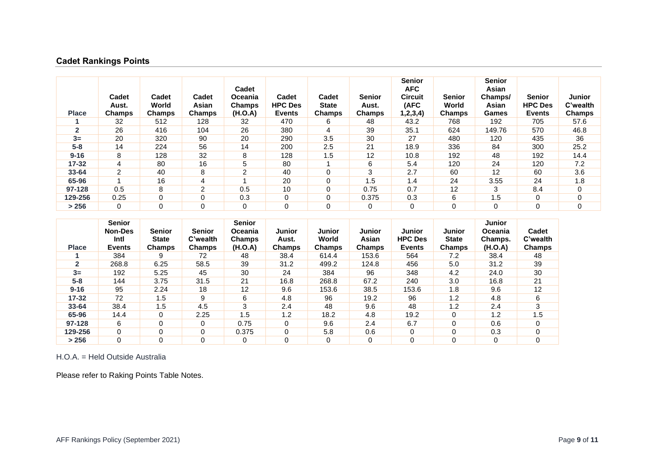## **Cadet Rankings Points**

| <b>Place</b> | Cadet<br>Aust.<br><b>Champs</b> | Cadet<br>World<br>Champs | Cadet<br>Asian<br>Champs | Cadet<br>Oceania<br>Champs<br>(H.O.A) | Cadet<br><b>HPC Des</b><br><b>Events</b> | Cadet<br><b>State</b><br>Champs | <b>Senior</b><br>Aust.<br>Champs | <b>Senior</b><br><b>AFC</b><br>Circuit<br>(AFC<br>,2,3,4) | <b>Senior</b><br>World<br>Champs | <b>Senior</b><br>Asian<br>Champs/<br>Asian<br>Games | <b>Senior</b><br><b>HPC Des</b><br><b>Events</b> | Junior<br>C'wealth<br><b>Champs</b> |
|--------------|---------------------------------|--------------------------|--------------------------|---------------------------------------|------------------------------------------|---------------------------------|----------------------------------|-----------------------------------------------------------|----------------------------------|-----------------------------------------------------|--------------------------------------------------|-------------------------------------|
|              | 32                              | 512                      | 128                      | 32                                    | 470                                      | 6                               | 48                               | 43.2                                                      | 768                              | 192                                                 | 705                                              | 57.6                                |
| $\mathbf{2}$ | 26                              | 416                      | 104                      | 26                                    | 380                                      | 4                               | 39                               | 35.1                                                      | 624                              | 149.76                                              | 570                                              | 46.8                                |
| $3=$         | 20                              | 320                      | 90                       | 20                                    | 290                                      | 3.5                             | 30                               | 27                                                        | 480                              | 120                                                 | 435                                              | 36                                  |
| $5 - 8$      | 14                              | 224                      | 56                       | 14                                    | 200                                      | 2.5                             | 21                               | 18.9                                                      | 336                              | 84                                                  | 300                                              | 25.2                                |
| $9 - 16$     | 8                               | 128                      | 32                       | 8                                     | 128                                      | 1.5                             | 12                               | 10.8                                                      | 192                              | 48                                                  | 192                                              | 14.4                                |
| $17 - 32$    | 4                               | 80                       | 16                       | 5                                     | 80                                       |                                 | 6                                | 5.4                                                       | 120                              | 24                                                  | 120                                              | 7.2                                 |
| $33 - 64$    | 2                               | 40                       | 8                        | $\overline{2}$                        | 40                                       | $\Omega$                        | 3                                | 2.7                                                       | 60                               | 12                                                  | 60                                               | 3.6                                 |
| 65-96        |                                 | 16                       | 4                        |                                       | 20                                       | 0                               | i .5                             | 1.4                                                       | 24                               | 3.55                                                | 24                                               | 1.8                                 |
| 97-128       | 0.5                             | 8                        | $\overline{2}$           | 0.5                                   | 10                                       | 0                               | 0.75                             | 0.7                                                       | 12                               | 3                                                   | 8.4                                              | 0                                   |
| 129-256      | 0.25                            | 0                        | 0                        | 0.3                                   | 0                                        | 0                               | 0.375                            | 0.3                                                       | 6                                | 1.5                                                 | 0                                                | 0                                   |
| > 256        | $\mathbf 0$                     | $\mathbf{0}$             | $\Omega$                 | $\Omega$                              | 0                                        | $\Omega$                        | 0                                | 0                                                         | 0                                | $\mathbf 0$                                         | 0                                                | 0                                   |

| <b>Place</b> | <b>Senior</b><br><b>Non-Des</b><br>Intl<br><b>Events</b> | Senior<br><b>State</b><br>Champs | <b>Senior</b><br>C'wealth<br><b>Champs</b> | <b>Senior</b><br>Oceania<br><b>Champs</b><br>(H.O.A) | Junior<br>Aust.<br>Champs | <b>Junior</b><br>World<br><b>Champs</b> | <b>Junior</b><br>Asian<br>Champs | <b>Junior</b><br><b>HPC Des</b><br><b>Events</b> | Junior<br><b>State</b><br>Champs | <b>Junior</b><br>Oceania<br>Champs.<br>(H.O.A) | Cadet<br>C'wealth<br>Champs |
|--------------|----------------------------------------------------------|----------------------------------|--------------------------------------------|------------------------------------------------------|---------------------------|-----------------------------------------|----------------------------------|--------------------------------------------------|----------------------------------|------------------------------------------------|-----------------------------|
|              | 384                                                      | 9                                | 72                                         | 48                                                   | 38.4                      | 614.4                                   | 153.6                            | 564                                              | 7.2                              | 38.4                                           | 48                          |
|              | 268.8                                                    | 6.25                             | 58.5                                       | 39                                                   | 31.2                      | 499.2                                   | 124.8                            | 456                                              | 5.0                              | 31.2                                           | 39                          |
| $3=$         | 192                                                      | 5.25                             | 45                                         | 30                                                   | 24                        | 384                                     | 96                               | 348                                              | 4.2                              | 24.0                                           | 30                          |
| $5 - 8$      | 144                                                      | 3.75                             | 31.5                                       | 21                                                   | 16.8                      | 268.8                                   | 67.2                             | 240                                              | 3.0                              | 16.8                                           | 21                          |
| $9 - 16$     | 95                                                       | 2.24                             | 18                                         | 12                                                   | 9.6                       | 153.6                                   | 38.5                             | 153.6                                            | 1.8                              | 9.6                                            | 12                          |
| $17 - 32$    | 72                                                       | 1.5                              | 9                                          | 6                                                    | 4.8                       | 96                                      | 19.2                             | 96                                               | 1.2                              | 4.8                                            | 6                           |
| $33 - 64$    | 38.4                                                     | 1.5                              | 4.5                                        | 3                                                    | 2.4                       | 48                                      | 9.6                              | 48                                               | 1.2                              | 2.4                                            | 3                           |
| 65-96        | 14.4                                                     | $\Omega$                         | 2.25                                       | 1.5                                                  | 1.2                       | 18.2                                    | 4.8                              | 19.2                                             | $\Omega$                         | 1.2                                            | 1.5                         |
| 97-128       | 6                                                        | $\Omega$                         | $\Omega$                                   | 0.75                                                 | 0                         | 9.6                                     | 2.4                              | 6.7                                              | $\Omega$                         | 0.6                                            | $\Omega$                    |
| 129-256      | 0                                                        | 0                                | $\Omega$                                   | 0.375                                                | 0                         | 5.8                                     | 0.6                              |                                                  | $\Omega$                         | 0.3                                            | 0                           |
| > 256        | 0                                                        | $\Omega$                         | $\Omega$                                   | 0                                                    | 0                         | 0                                       | 0                                |                                                  | $\Omega$                         | 0                                              | 0                           |

H.O.A. = Held Outside Australia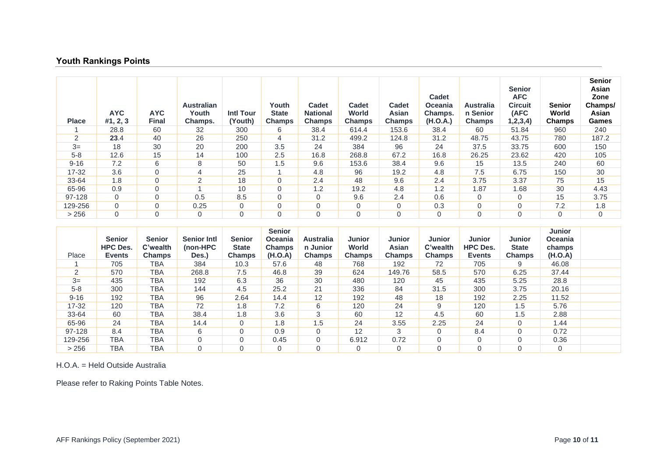## **Youth Rankings Points**

| <b>Place</b> | AYC.<br>#1, 2, 3 | <b>AYC</b><br><b>Final</b> | <b>Australian</b><br>Youth<br>Champs. | <b>Intl Tour</b><br>(Youth) | Youth<br>State<br><b>Champs</b> | <b>Cadet</b><br><b>National</b><br><b>Champs</b> | Cadet<br>World<br><b>Champs</b> | Cadet<br>Asian<br><b>Champs</b> | <b>Cadet</b><br><b>Oceania</b><br>Champs.<br>(H.O.A.) | Australia<br>n Senior<br><b>Champs</b> | <b>Senior</b><br><b>AFC</b><br><b>Circuit</b><br>(AFC<br>1, 2, 3, 4) | Senior<br>World<br>Champs | <b>Senior</b><br>Asian<br>Zone<br>Champs/<br>Asian<br>Games |
|--------------|------------------|----------------------------|---------------------------------------|-----------------------------|---------------------------------|--------------------------------------------------|---------------------------------|---------------------------------|-------------------------------------------------------|----------------------------------------|----------------------------------------------------------------------|---------------------------|-------------------------------------------------------------|
|              | 28.8             | 60                         | 32                                    | 300                         | 6                               | 38.4                                             | 614.4                           | 153.6                           | 38.4                                                  | 60                                     | 51.84                                                                | 960                       | 240                                                         |
| 2            | 23.4             | 40                         | 26                                    | 250                         | 4                               | 31.2                                             | 499.2                           | 124.8                           | 31.2                                                  | 48.75                                  | 43.75                                                                | 780                       | 187.2                                                       |
| $3=$         | 18               | 30                         | 20                                    | 200                         | 3.5                             | 24                                               | 384                             | 96                              | 24                                                    | 37.5                                   | 33.75                                                                | 600                       | 150                                                         |
| $5 - 8$      | 12.6             | 15                         | 14                                    | 100                         | 2.5                             | 16.8                                             | 268.8                           | 67.2                            | 16.8                                                  | 26.25                                  | 23.62                                                                | 420                       | 105                                                         |
| $9 - 16$     | 7.2              | 6                          | 8                                     | 50                          | 1.5                             | 9.6                                              | 153.6                           | 38.4                            | 9.6                                                   | 15                                     | 13.5                                                                 | 240                       | 60                                                          |
| $17 - 32$    | 3.6              | $\mathbf{0}$               | 4                                     | 25                          |                                 | 4.8                                              | 96                              | 19.2                            | 4.8                                                   | 7.5                                    | 6.75                                                                 | 150                       | 30                                                          |
| 33-64        | 1.8              | $\Omega$                   | $\overline{2}$                        | 18                          | $\Omega$                        | 2.4                                              | 48                              | 9.6                             | 2.4                                                   | 3.75                                   | 3.37                                                                 | 75                        | 15                                                          |
| 65-96        | 0.9              | $\mathbf 0$                |                                       | 10                          | $\mathbf 0$                     | 1.2                                              | 19.2                            | 4.8                             | 1.2                                                   | 1.87                                   | 1.68                                                                 | 30                        | 4.43                                                        |
| 97-128       | $\Omega$         | $\mathbf 0$                | 0.5                                   | 8.5                         | $\mathbf 0$                     | $\mathbf 0$                                      | 9.6                             | 2.4                             | 0.6                                                   | 0                                      | 0                                                                    | 15                        | 3.75                                                        |
| 129-256      | 0                | $\Omega$                   | 0.25                                  | $\mathbf 0$                 | $\Omega$                        | $\Omega$                                         | 0                               | $\Omega$                        | 0.3                                                   | 0                                      | $\overline{0}$                                                       | 7.2                       | 1.8                                                         |
| > 256        | 0                | $\Omega$                   | $\Omega$                              | $\mathbf 0$                 | $\Omega$                        | $\mathbf 0$                                      | 0                               | $\mathbf 0$                     | $\Omega$                                              | 0                                      | 0                                                                    | $\Omega$                  | $\mathbf 0$                                                 |

| Place          | <b>Senior</b><br><b>HPC Des.</b><br><b>Events</b> | <b>Senior</b><br>C'wealth<br><b>Champs</b> | <b>Senior Intl</b><br>(non-HPC<br>Des.) | <b>Senior</b><br><b>State</b><br>Champs | <b>Senior</b><br><b>Oceania</b><br><b>Champs</b><br>(H.O.A) | <b>Australia</b><br>n Junior<br><b>Champs</b> | <b>Junior</b><br>World<br><b>Champs</b> | <b>Junior</b><br>Asian<br><b>Champs</b> | <b>Junior</b><br>C'wealth<br><b>Champs</b> | <b>Junior</b><br><b>HPC Des.</b><br><b>Events</b> | <b>Junior</b><br><b>State</b><br><b>Champs</b> | <b>Junior</b><br><b>Oceania</b><br>champs<br>(H.O.A) |  |
|----------------|---------------------------------------------------|--------------------------------------------|-----------------------------------------|-----------------------------------------|-------------------------------------------------------------|-----------------------------------------------|-----------------------------------------|-----------------------------------------|--------------------------------------------|---------------------------------------------------|------------------------------------------------|------------------------------------------------------|--|
|                | 705                                               | TBA                                        | 384                                     | 10.3                                    | 57.6                                                        | 48                                            | 768                                     | 192                                     | 72                                         | 705                                               | 9                                              | 46.08                                                |  |
| $\overline{2}$ | 570                                               | TBA                                        | 268.8                                   | 7.5                                     | 46.8                                                        | 39                                            | 624                                     | 149.76                                  | 58.5                                       | 570                                               | 6.25                                           | 37.44                                                |  |
| $3=$           | 435                                               | TBA                                        | 192                                     | 6.3                                     | 36                                                          | 30                                            | 480                                     | 120                                     | 45                                         | 435                                               | 5.25                                           | 28.8                                                 |  |
| $5 - 8$        | 300                                               | TBA                                        | 144                                     | 4.5                                     | 25.2                                                        | 21                                            | 336                                     | 84                                      | 31.5                                       | 300                                               | 3.75                                           | 20.16                                                |  |
| $9 - 16$       | 192                                               | TBA                                        | 96                                      | 2.64                                    | 14.4                                                        | 12                                            | 192                                     | 48                                      | 18                                         | 192                                               | 2.25                                           | 11.52                                                |  |
| 17-32          | 120                                               | <b>TBA</b>                                 | 72                                      | 1.8                                     | 7.2                                                         | 6                                             | 120                                     | 24                                      | 9                                          | 120                                               | 1.5                                            | 5.76                                                 |  |
| 33-64          | 60                                                | TBA                                        | 38.4                                    | 1.8                                     | 3.6                                                         | 3                                             | 60                                      | 12                                      | 4.5                                        | 60                                                | 1.5                                            | 2.88                                                 |  |
| 65-96          | 24                                                | <b>TBA</b>                                 | 14.4                                    | $\mathbf 0$                             | 1.8                                                         | 1.5                                           | 24                                      | 3.55                                    | 2.25                                       | 24                                                | $\Omega$                                       | 1.44                                                 |  |
| 97-128         | 8.4                                               | <b>TBA</b>                                 | 6                                       | $\Omega$                                | 0.9                                                         | $\Omega$                                      | 12                                      | 3                                       | $\Omega$                                   | 8.4                                               | $\Omega$                                       | 0.72                                                 |  |
| 129-256        | <b>TBA</b>                                        | <b>TBA</b>                                 |                                         | $\Omega$                                | 0.45                                                        | $\Omega$                                      | 6.912                                   | 0.72                                    | $\overline{0}$                             |                                                   | $\Omega$                                       | 0.36                                                 |  |
| > 256          | <b>TBA</b>                                        | <b>TBA</b>                                 |                                         | $\Omega$                                | $\Omega$                                                    | $\Omega$                                      |                                         | $\Omega$                                | $\Omega$                                   |                                                   | $\Omega$                                       | $\Omega$                                             |  |

H.O.A. = Held Outside Australia